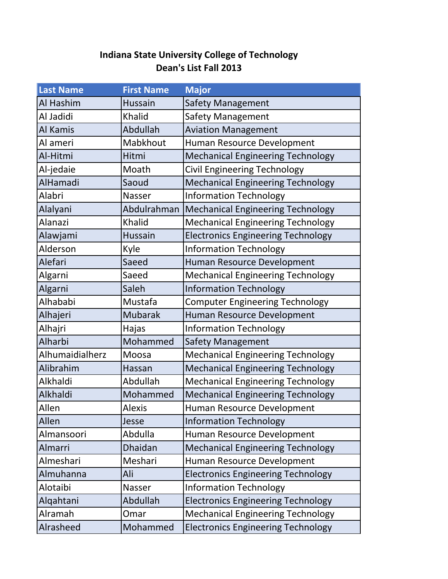## **Indiana State University College of Technology Dean's List Fall 2013**

| <b>Last Name</b> | <b>First Name</b> | <b>Major</b>                              |
|------------------|-------------------|-------------------------------------------|
| Al Hashim        | <b>Hussain</b>    | Safety Management                         |
| Al Jadidi        | Khalid            | <b>Safety Management</b>                  |
| Al Kamis         | Abdullah          | <b>Aviation Management</b>                |
| Al ameri         | Mabkhout          | Human Resource Development                |
| Al-Hitmi         | Hitmi             | <b>Mechanical Engineering Technology</b>  |
| Al-jedaie        | Moath             | <b>Civil Engineering Technology</b>       |
| AlHamadi         | Saoud             | <b>Mechanical Engineering Technology</b>  |
| Alabri           | Nasser            | <b>Information Technology</b>             |
| Alalyani         | Abdulrahman       | <b>Mechanical Engineering Technology</b>  |
| Alanazi          | <b>Khalid</b>     | <b>Mechanical Engineering Technology</b>  |
| Alawjami         | Hussain           | <b>Electronics Engineering Technology</b> |
| Alderson         | Kyle              | <b>Information Technology</b>             |
| Alefari          | Saeed             | Human Resource Development                |
| Algarni          | Saeed             | <b>Mechanical Engineering Technology</b>  |
| Algarni          | Saleh             | <b>Information Technology</b>             |
| Alhababi         | Mustafa           | <b>Computer Engineering Technology</b>    |
| Alhajeri         | <b>Mubarak</b>    | Human Resource Development                |
| Alhajri          | Hajas             | <b>Information Technology</b>             |
| Alharbi          | Mohammed          | Safety Management                         |
| Alhumaidialherz  | Moosa             | <b>Mechanical Engineering Technology</b>  |
| Alibrahim        | Hassan            | <b>Mechanical Engineering Technology</b>  |
| Alkhaldi         | Abdullah          | <b>Mechanical Engineering Technology</b>  |
| Alkhaldi         | Mohammed          | <b>Mechanical Engineering Technology</b>  |
| Allen            | Alexis            | Human Resource Development                |
| Allen            | Jesse             | <b>Information Technology</b>             |
| Almansoori       | Abdulla           | Human Resource Development                |
| Almarri          | Dhaidan           | <b>Mechanical Engineering Technology</b>  |
| Almeshari        | Meshari           | Human Resource Development                |
| Almuhanna        | Ali               | <b>Electronics Engineering Technology</b> |
| Alotaibi         | Nasser            | <b>Information Technology</b>             |
| Alqahtani        | Abdullah          | <b>Electronics Engineering Technology</b> |
| Alramah          | Omar              | <b>Mechanical Engineering Technology</b>  |
| Alrasheed        | Mohammed          | <b>Electronics Engineering Technology</b> |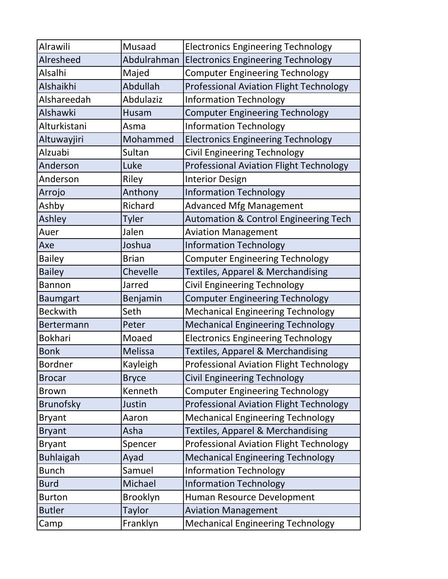| Alrawili         | Musaad       | <b>Electronics Engineering Technology</b>        |
|------------------|--------------|--------------------------------------------------|
| Alresheed        | Abdulrahman  | <b>Electronics Engineering Technology</b>        |
| Alsalhi          | Majed        | <b>Computer Engineering Technology</b>           |
| Alshaikhi        | Abdullah     | <b>Professional Aviation Flight Technology</b>   |
| Alshareedah      | Abdulaziz    | <b>Information Technology</b>                    |
| Alshawki         | Husam        | <b>Computer Engineering Technology</b>           |
| Alturkistani     | Asma         | <b>Information Technology</b>                    |
| Altuwayjiri      | Mohammed     | <b>Electronics Engineering Technology</b>        |
| Alzuabi          | Sultan       | Civil Engineering Technology                     |
| Anderson         | Luke         | <b>Professional Aviation Flight Technology</b>   |
| Anderson         | Riley        | <b>Interior Design</b>                           |
| Arrojo           | Anthony      | <b>Information Technology</b>                    |
| Ashby            | Richard      | <b>Advanced Mfg Management</b>                   |
| Ashley           | <b>Tyler</b> | <b>Automation &amp; Control Engineering Tech</b> |
| Auer             | Jalen        | <b>Aviation Management</b>                       |
| Axe              | Joshua       | <b>Information Technology</b>                    |
| <b>Bailey</b>    | <b>Brian</b> | <b>Computer Engineering Technology</b>           |
| <b>Bailey</b>    | Chevelle     | Textiles, Apparel & Merchandising                |
| <b>Bannon</b>    | Jarred       | Civil Engineering Technology                     |
| <b>Baumgart</b>  | Benjamin     | <b>Computer Engineering Technology</b>           |
| <b>Beckwith</b>  | Seth         | <b>Mechanical Engineering Technology</b>         |
| Bertermann       | Peter        | <b>Mechanical Engineering Technology</b>         |
| <b>Bokhari</b>   | Moaed        | <b>Electronics Engineering Technology</b>        |
| <b>Bonk</b>      | Melissa      | <b>Textiles, Apparel &amp; Merchandising</b>     |
| <b>Bordner</b>   | Kayleigh     | Professional Aviation Flight Technology          |
| <b>Brocar</b>    | <b>Bryce</b> | <b>Civil Engineering Technology</b>              |
| <b>Brown</b>     | Kenneth      | <b>Computer Engineering Technology</b>           |
| <b>Brunofsky</b> | Justin       | <b>Professional Aviation Flight Technology</b>   |
| <b>Bryant</b>    | Aaron        | <b>Mechanical Engineering Technology</b>         |
| <b>Bryant</b>    | Asha         | <b>Textiles, Apparel &amp; Merchandising</b>     |
| <b>Bryant</b>    | Spencer      | <b>Professional Aviation Flight Technology</b>   |
| <b>Buhlaigah</b> | Ayad         | <b>Mechanical Engineering Technology</b>         |
| <b>Bunch</b>     | Samuel       | <b>Information Technology</b>                    |
| <b>Burd</b>      | Michael      | <b>Information Technology</b>                    |
| <b>Burton</b>    | Brooklyn     | Human Resource Development                       |
| <b>Butler</b>    | Taylor       | <b>Aviation Management</b>                       |
| Camp             | Franklyn     | <b>Mechanical Engineering Technology</b>         |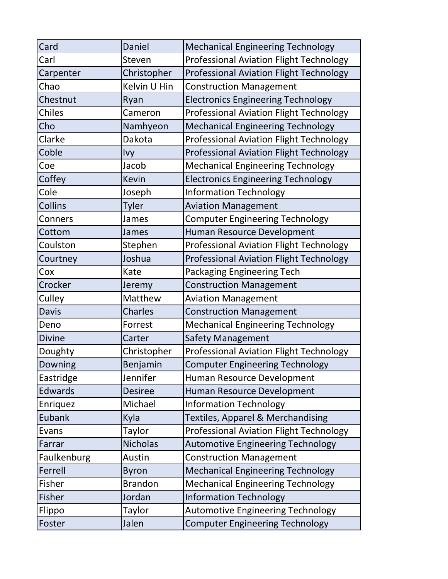| Card           | Daniel          | <b>Mechanical Engineering Technology</b>       |
|----------------|-----------------|------------------------------------------------|
| Carl           | Steven          | <b>Professional Aviation Flight Technology</b> |
| Carpenter      | Christopher     | <b>Professional Aviation Flight Technology</b> |
| Chao           | Kelvin U Hin    | <b>Construction Management</b>                 |
| Chestnut       | Ryan            | <b>Electronics Engineering Technology</b>      |
| <b>Chiles</b>  | Cameron         | <b>Professional Aviation Flight Technology</b> |
| Cho            | Namhyeon        | <b>Mechanical Engineering Technology</b>       |
| Clarke         | Dakota          | <b>Professional Aviation Flight Technology</b> |
| Coble          | Ivy             | <b>Professional Aviation Flight Technology</b> |
| Coe            | Jacob           | <b>Mechanical Engineering Technology</b>       |
| Coffey         | <b>Kevin</b>    | <b>Electronics Engineering Technology</b>      |
| Cole           | Joseph          | <b>Information Technology</b>                  |
| <b>Collins</b> | <b>Tyler</b>    | <b>Aviation Management</b>                     |
| Conners        | James           | <b>Computer Engineering Technology</b>         |
| Cottom         | James           | Human Resource Development                     |
| Coulston       | Stephen         | <b>Professional Aviation Flight Technology</b> |
| Courtney       | Joshua          | <b>Professional Aviation Flight Technology</b> |
| Cox            | Kate            | Packaging Engineering Tech                     |
| Crocker        | Jeremy          | <b>Construction Management</b>                 |
| Culley         | Matthew         | <b>Aviation Management</b>                     |
| <b>Davis</b>   | <b>Charles</b>  | <b>Construction Management</b>                 |
| Deno           | Forrest         | <b>Mechanical Engineering Technology</b>       |
| <b>Divine</b>  | Carter          | <b>Safety Management</b>                       |
| Doughty        | Christopher     | <b>Professional Aviation Flight Technology</b> |
| Downing        | Benjamin        | <b>Computer Engineering Technology</b>         |
| Eastridge      | Jennifer        | Human Resource Development                     |
| <b>Edwards</b> | <b>Desiree</b>  | Human Resource Development                     |
| Enriquez       | Michael         | <b>Information Technology</b>                  |
| <b>Eubank</b>  | Kyla            | <b>Textiles, Apparel &amp; Merchandising</b>   |
| Evans          | Taylor          | <b>Professional Aviation Flight Technology</b> |
| Farrar         | <b>Nicholas</b> | <b>Automotive Engineering Technology</b>       |
| Faulkenburg    | Austin          | <b>Construction Management</b>                 |
| Ferrell        | <b>Byron</b>    | <b>Mechanical Engineering Technology</b>       |
| Fisher         | <b>Brandon</b>  | <b>Mechanical Engineering Technology</b>       |
| Fisher         | Jordan          | <b>Information Technology</b>                  |
| Flippo         | Taylor          | <b>Automotive Engineering Technology</b>       |
| Foster         | Jalen           | <b>Computer Engineering Technology</b>         |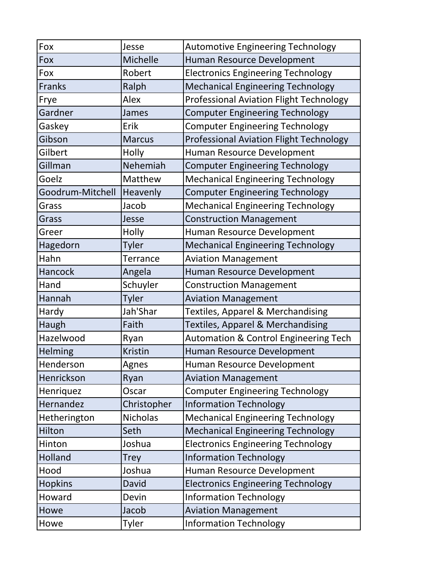| Fox              | Jesse           | <b>Automotive Engineering Technology</b>         |
|------------------|-----------------|--------------------------------------------------|
| Fox              | Michelle        | Human Resource Development                       |
| Fox              | Robert          | <b>Electronics Engineering Technology</b>        |
| <b>Franks</b>    | Ralph           | <b>Mechanical Engineering Technology</b>         |
| Frye             | Alex            | <b>Professional Aviation Flight Technology</b>   |
| Gardner          | James           | <b>Computer Engineering Technology</b>           |
| Gaskey           | Erik            | <b>Computer Engineering Technology</b>           |
| Gibson           | <b>Marcus</b>   | <b>Professional Aviation Flight Technology</b>   |
| Gilbert          | Holly           | Human Resource Development                       |
| Gillman          | Nehemiah        | <b>Computer Engineering Technology</b>           |
| Goelz            | Matthew         | <b>Mechanical Engineering Technology</b>         |
| Goodrum-Mitchell | Heavenly        | <b>Computer Engineering Technology</b>           |
| Grass            | Jacob           | <b>Mechanical Engineering Technology</b>         |
| Grass            | Jesse           | <b>Construction Management</b>                   |
| Greer            | Holly           | Human Resource Development                       |
| Hagedorn         | <b>Tyler</b>    | <b>Mechanical Engineering Technology</b>         |
| Hahn             | <b>Terrance</b> | <b>Aviation Management</b>                       |
| Hancock          | Angela          | Human Resource Development                       |
| Hand             | Schuyler        | <b>Construction Management</b>                   |
| Hannah           | Tyler           | <b>Aviation Management</b>                       |
| Hardy            | Jah'Shar        | <b>Textiles, Apparel &amp; Merchandising</b>     |
| Haugh            | Faith           | Textiles, Apparel & Merchandising                |
| Hazelwood        | Ryan            | <b>Automation &amp; Control Engineering Tech</b> |
| Helming          | <b>Kristin</b>  | Human Resource Development                       |
| Henderson        | Agnes           | Human Resource Development                       |
| Henrickson       | Ryan            | <b>Aviation Management</b>                       |
| Henriquez        | Oscar           | <b>Computer Engineering Technology</b>           |
| Hernandez        | Christopher     | <b>Information Technology</b>                    |
| Hetherington     | <b>Nicholas</b> | <b>Mechanical Engineering Technology</b>         |
| Hilton           | Seth            | <b>Mechanical Engineering Technology</b>         |
| Hinton           | Joshua          | <b>Electronics Engineering Technology</b>        |
| Holland          | <b>Trey</b>     | <b>Information Technology</b>                    |
| Hood             | Joshua          | Human Resource Development                       |
| <b>Hopkins</b>   | David           | <b>Electronics Engineering Technology</b>        |
| Howard           | Devin           | <b>Information Technology</b>                    |
| Howe             | Jacob           | <b>Aviation Management</b>                       |
| Howe             | Tyler           | <b>Information Technology</b>                    |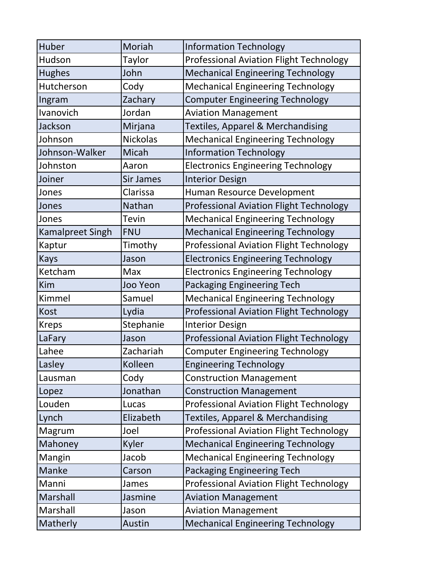| Huber            | Moriah           | <b>Information Technology</b>                  |
|------------------|------------------|------------------------------------------------|
| Hudson           | <b>Taylor</b>    | <b>Professional Aviation Flight Technology</b> |
| <b>Hughes</b>    | John             | <b>Mechanical Engineering Technology</b>       |
| Hutcherson       | Cody             | <b>Mechanical Engineering Technology</b>       |
| Ingram           | Zachary          | <b>Computer Engineering Technology</b>         |
| Ivanovich        | Jordan           | <b>Aviation Management</b>                     |
| Jackson          | Mirjana          | <b>Textiles, Apparel &amp; Merchandising</b>   |
| Johnson          | <b>Nickolas</b>  | <b>Mechanical Engineering Technology</b>       |
| Johnson-Walker   | Micah            | <b>Information Technology</b>                  |
| Johnston         | Aaron            | <b>Electronics Engineering Technology</b>      |
| Joiner           | <b>Sir James</b> | <b>Interior Design</b>                         |
| Jones            | Clarissa         | Human Resource Development                     |
| Jones            | Nathan           | <b>Professional Aviation Flight Technology</b> |
| Jones            | Tevin            | <b>Mechanical Engineering Technology</b>       |
| Kamalpreet Singh | <b>FNU</b>       | <b>Mechanical Engineering Technology</b>       |
| Kaptur           | Timothy          | <b>Professional Aviation Flight Technology</b> |
| <b>Kays</b>      | Jason            | <b>Electronics Engineering Technology</b>      |
| Ketcham          | Max              | <b>Electronics Engineering Technology</b>      |
| Kim              | <b>Joo Yeon</b>  | Packaging Engineering Tech                     |
| Kimmel           | Samuel           | <b>Mechanical Engineering Technology</b>       |
| <b>Kost</b>      | Lydia            | Professional Aviation Flight Technology        |
| <b>Kreps</b>     | Stephanie        | <b>Interior Design</b>                         |
| LaFary           | Jason            | <b>Professional Aviation Flight Technology</b> |
| Lahee            | Zachariah        | <b>Computer Engineering Technology</b>         |
| Lasley           | Kolleen          | <b>Engineering Technology</b>                  |
| Lausman          | Cody             | <b>Construction Management</b>                 |
| Lopez            | Jonathan         | <b>Construction Management</b>                 |
| Louden           | Lucas            | <b>Professional Aviation Flight Technology</b> |
| Lynch            | Elizabeth        | <b>Textiles, Apparel &amp; Merchandising</b>   |
| Magrum           | Joel             | <b>Professional Aviation Flight Technology</b> |
| Mahoney          | Kyler            | <b>Mechanical Engineering Technology</b>       |
| Mangin           | Jacob            | <b>Mechanical Engineering Technology</b>       |
| Manke            | Carson           | Packaging Engineering Tech                     |
| Manni            | James            | <b>Professional Aviation Flight Technology</b> |
| Marshall         | Jasmine          | <b>Aviation Management</b>                     |
| Marshall         | Jason            | <b>Aviation Management</b>                     |
| Matherly         | Austin           | <b>Mechanical Engineering Technology</b>       |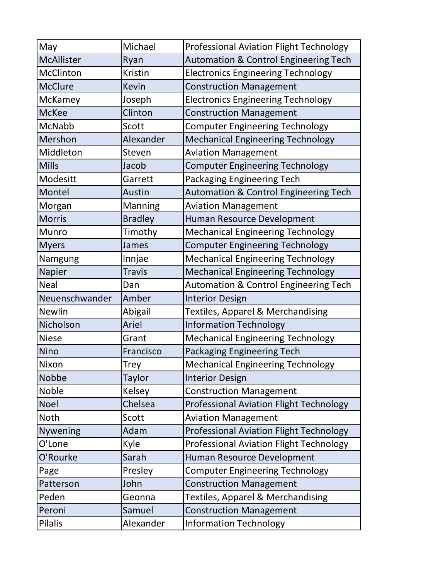| May               | Michael        | <b>Professional Aviation Flight Technology</b>   |
|-------------------|----------------|--------------------------------------------------|
| <b>McAllister</b> | Ryan           | <b>Automation &amp; Control Engineering Tech</b> |
| McClinton         | <b>Kristin</b> | <b>Electronics Engineering Technology</b>        |
| <b>McClure</b>    | <b>Kevin</b>   | <b>Construction Management</b>                   |
| McKamey           | Joseph         | <b>Electronics Engineering Technology</b>        |
| <b>McKee</b>      | Clinton        | <b>Construction Management</b>                   |
| McNabb            | Scott          | <b>Computer Engineering Technology</b>           |
| Mershon           | Alexander      | <b>Mechanical Engineering Technology</b>         |
| Middleton         | Steven         | <b>Aviation Management</b>                       |
| <b>Mills</b>      | Jacob          | <b>Computer Engineering Technology</b>           |
| Modesitt          | Garrett        | <b>Packaging Engineering Tech</b>                |
| Montel            | Austin         | <b>Automation &amp; Control Engineering Tech</b> |
| Morgan            | Manning        | <b>Aviation Management</b>                       |
| <b>Morris</b>     | <b>Bradley</b> | Human Resource Development                       |
| Munro             | Timothy        | <b>Mechanical Engineering Technology</b>         |
| <b>Myers</b>      | James          | <b>Computer Engineering Technology</b>           |
| Namgung           | Innjae         | <b>Mechanical Engineering Technology</b>         |
| Napier            | <b>Travis</b>  | <b>Mechanical Engineering Technology</b>         |
| <b>Neal</b>       | Dan            | <b>Automation &amp; Control Engineering Tech</b> |
| Neuenschwander    | Amber          | <b>Interior Design</b>                           |
| <b>Newlin</b>     | Abigail        | Textiles, Apparel & Merchandising                |
| Nicholson         | Ariel          | <b>Information Technology</b>                    |
| <b>Niese</b>      | Grant          | <b>Mechanical Engineering Technology</b>         |
| <b>Nino</b>       | Francisco      | Packaging Engineering Tech                       |
| Nixon             | <b>Trey</b>    | <b>Mechanical Engineering Technology</b>         |
| <b>Nobbe</b>      | <b>Taylor</b>  | <b>Interior Design</b>                           |
| <b>Noble</b>      | Kelsey         | <b>Construction Management</b>                   |
| <b>Noel</b>       | Chelsea        | <b>Professional Aviation Flight Technology</b>   |
| Noth              | Scott          | <b>Aviation Management</b>                       |
| <b>Nywening</b>   | Adam           | <b>Professional Aviation Flight Technology</b>   |
| O'Lone            | Kyle           | <b>Professional Aviation Flight Technology</b>   |
| O'Rourke          | Sarah          | Human Resource Development                       |
| Page              | Presley        | <b>Computer Engineering Technology</b>           |
| Patterson         | John           | <b>Construction Management</b>                   |
| Peden             | Geonna         | <b>Textiles, Apparel &amp; Merchandising</b>     |
| Peroni            | Samuel         | <b>Construction Management</b>                   |
| <b>Pilalis</b>    | Alexander      | <b>Information Technology</b>                    |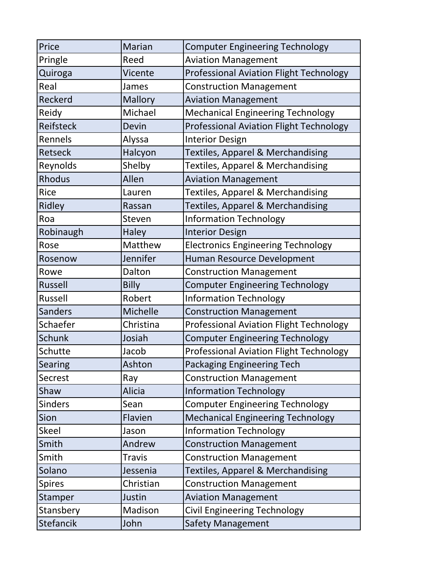| Price            | <b>Marian</b> | <b>Computer Engineering Technology</b>         |
|------------------|---------------|------------------------------------------------|
| Pringle          | Reed          | <b>Aviation Management</b>                     |
| Quiroga          | Vicente       | <b>Professional Aviation Flight Technology</b> |
| Real             | James         | <b>Construction Management</b>                 |
| Reckerd          | Mallory       | <b>Aviation Management</b>                     |
| Reidy            | Michael       | <b>Mechanical Engineering Technology</b>       |
| <b>Reifsteck</b> | Devin         | <b>Professional Aviation Flight Technology</b> |
| Rennels          | Alyssa        | <b>Interior Design</b>                         |
| <b>Retseck</b>   | Halcyon       | <b>Textiles, Apparel &amp; Merchandising</b>   |
| Reynolds         | Shelby        | <b>Textiles, Apparel &amp; Merchandising</b>   |
| <b>Rhodus</b>    | Allen         | <b>Aviation Management</b>                     |
| <b>Rice</b>      | Lauren        | Textiles, Apparel & Merchandising              |
| Ridley           | Rassan        | Textiles, Apparel & Merchandising              |
| Roa              | Steven        | <b>Information Technology</b>                  |
| Robinaugh        | <b>Haley</b>  | <b>Interior Design</b>                         |
| Rose             | Matthew       | <b>Electronics Engineering Technology</b>      |
| Rosenow          | Jennifer      | Human Resource Development                     |
| Rowe             | Dalton        | <b>Construction Management</b>                 |
| <b>Russell</b>   | <b>Billy</b>  | <b>Computer Engineering Technology</b>         |
| <b>Russell</b>   | Robert        | <b>Information Technology</b>                  |
| <b>Sanders</b>   | Michelle      | <b>Construction Management</b>                 |
| Schaefer         | Christina     | <b>Professional Aviation Flight Technology</b> |
| <b>Schunk</b>    | Josiah        | <b>Computer Engineering Technology</b>         |
| Schutte          | Jacob         | <b>Professional Aviation Flight Technology</b> |
| Searing          | Ashton        | <b>Packaging Engineering Tech</b>              |
| Secrest          | Ray           | <b>Construction Management</b>                 |
| Shaw             | <b>Alicia</b> | <b>Information Technology</b>                  |
| <b>Sinders</b>   | Sean          | <b>Computer Engineering Technology</b>         |
| Sion             | Flavien       | <b>Mechanical Engineering Technology</b>       |
| <b>Skeel</b>     | Jason         | <b>Information Technology</b>                  |
| Smith            | Andrew        | <b>Construction Management</b>                 |
| Smith            | <b>Travis</b> | <b>Construction Management</b>                 |
| Solano           | Jessenia      | <b>Textiles, Apparel &amp; Merchandising</b>   |
| <b>Spires</b>    | Christian     | <b>Construction Management</b>                 |
| Stamper          | Justin        | <b>Aviation Management</b>                     |
| Stansbery        | Madison       | Civil Engineering Technology                   |
| Stefancik        | John          | <b>Safety Management</b>                       |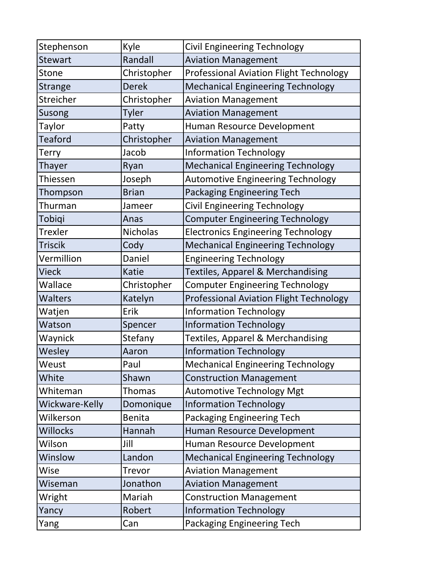| Stephenson      | Kyle            | <b>Civil Engineering Technology</b>            |
|-----------------|-----------------|------------------------------------------------|
| <b>Stewart</b>  | Randall         | <b>Aviation Management</b>                     |
| Stone           | Christopher     | <b>Professional Aviation Flight Technology</b> |
| <b>Strange</b>  | <b>Derek</b>    | <b>Mechanical Engineering Technology</b>       |
| Streicher       | Christopher     | <b>Aviation Management</b>                     |
| Susong          | <b>Tyler</b>    | <b>Aviation Management</b>                     |
| Taylor          | Patty           | Human Resource Development                     |
| <b>Teaford</b>  | Christopher     | <b>Aviation Management</b>                     |
| Terry           | Jacob           | <b>Information Technology</b>                  |
| Thayer          | Ryan            | <b>Mechanical Engineering Technology</b>       |
| Thiessen        | Joseph          | <b>Automotive Engineering Technology</b>       |
| Thompson        | <b>Brian</b>    | <b>Packaging Engineering Tech</b>              |
| Thurman         | Jameer          | Civil Engineering Technology                   |
| Tobiqi          | Anas            | <b>Computer Engineering Technology</b>         |
| Trexler         | <b>Nicholas</b> | <b>Electronics Engineering Technology</b>      |
| <b>Triscik</b>  | Cody            | <b>Mechanical Engineering Technology</b>       |
| Vermillion      | Daniel          | <b>Engineering Technology</b>                  |
| <b>Vieck</b>    | <b>Katie</b>    | Textiles, Apparel & Merchandising              |
| Wallace         | Christopher     | <b>Computer Engineering Technology</b>         |
| <b>Walters</b>  | Katelyn         | <b>Professional Aviation Flight Technology</b> |
| Watjen          | Erik            | <b>Information Technology</b>                  |
| Watson          | Spencer         | <b>Information Technology</b>                  |
| Waynick         | Stefany         | <b>Textiles, Apparel &amp; Merchandising</b>   |
| Wesley          | Aaron           | <b>Information Technology</b>                  |
| Weust           | Paul            | <b>Mechanical Engineering Technology</b>       |
| White           | Shawn           | <b>Construction Management</b>                 |
| Whiteman        | <b>Thomas</b>   | <b>Automotive Technology Mgt</b>               |
| Wickware-Kelly  | Domonique       | <b>Information Technology</b>                  |
| Wilkerson       | <b>Benita</b>   | Packaging Engineering Tech                     |
| <b>Willocks</b> | Hannah          | Human Resource Development                     |
| Wilson          | Jill            | Human Resource Development                     |
| Winslow         | Landon          | <b>Mechanical Engineering Technology</b>       |
| Wise            | <b>Trevor</b>   | <b>Aviation Management</b>                     |
| Wiseman         | Jonathon        | <b>Aviation Management</b>                     |
| Wright          | Mariah          | <b>Construction Management</b>                 |
| Yancy           | Robert          | <b>Information Technology</b>                  |
| Yang            | Can             | Packaging Engineering Tech                     |